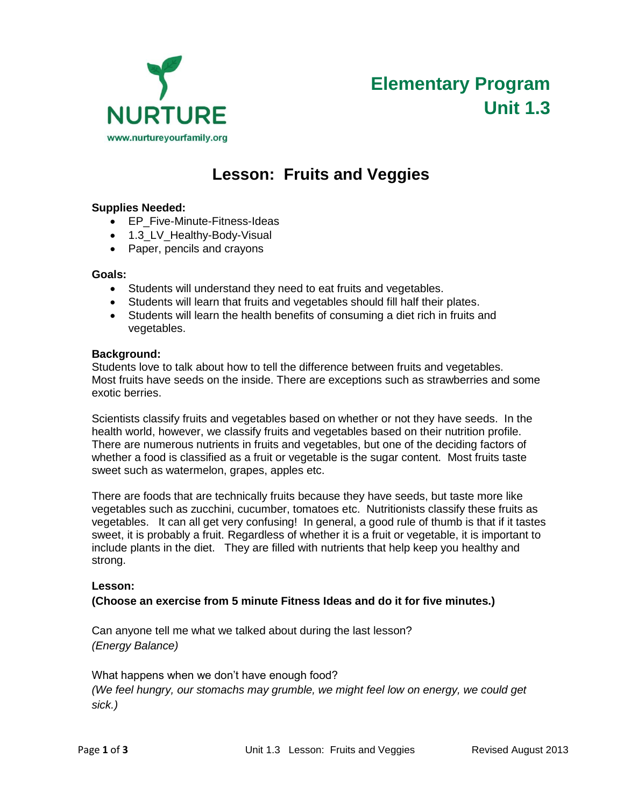

# **Elementary Program Unit 1.3**

# **Lesson: Fruits and Veggies**

# **Supplies Needed:**

- EP\_Five-Minute-Fitness-Ideas
- 1.3 LV Healthy-Body-Visual
- Paper, pencils and crayons

#### **Goals:**

- Students will understand they need to eat fruits and vegetables.
- Students will learn that fruits and vegetables should fill half their plates.
- Students will learn the health benefits of consuming a diet rich in fruits and vegetables.

#### **Background:**

Students love to talk about how to tell the difference between fruits and vegetables. Most fruits have seeds on the inside. There are exceptions such as strawberries and some exotic berries.

Scientists classify fruits and vegetables based on whether or not they have seeds. In the health world, however, we classify fruits and vegetables based on their nutrition profile. There are numerous nutrients in fruits and vegetables, but one of the deciding factors of whether a food is classified as a fruit or vegetable is the sugar content. Most fruits taste sweet such as watermelon, grapes, apples etc.

There are foods that are technically fruits because they have seeds, but taste more like vegetables such as zucchini, cucumber, tomatoes etc. Nutritionists classify these fruits as vegetables. It can all get very confusing! In general, a good rule of thumb is that if it tastes sweet, it is probably a fruit. Regardless of whether it is a fruit or vegetable, it is important to include plants in the diet. They are filled with nutrients that help keep you healthy and strong.

## **Lesson:**

## **(Choose an exercise from 5 minute Fitness Ideas and do it for five minutes.)**

Can anyone tell me what we talked about during the last lesson? *(Energy Balance)*

What happens when we don't have enough food? *(We feel hungry, our stomachs may grumble, we might feel low on energy, we could get sick.)*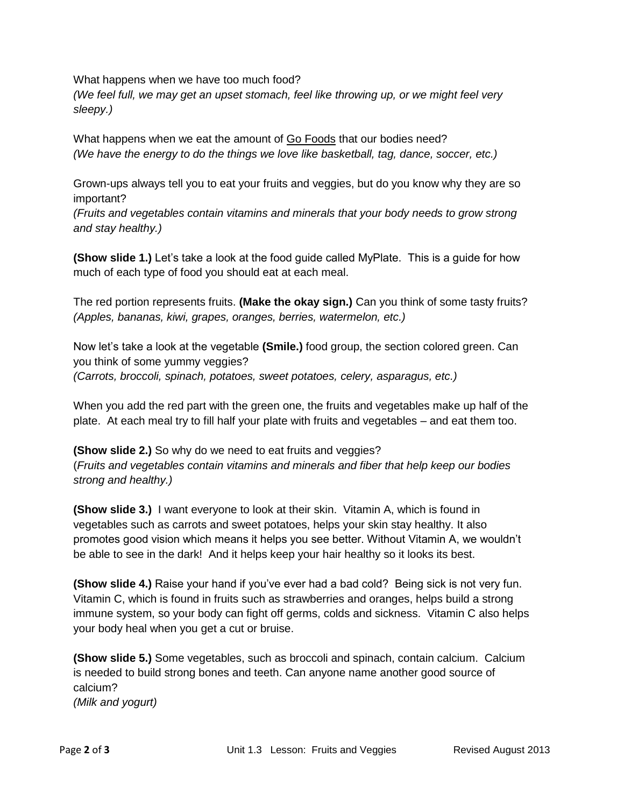What happens when we have too much food?

*(We feel full, we may get an upset stomach, feel like throwing up, or we might feel very sleepy.)*

What happens when we eat the amount of Go Foods that our bodies need? *(We have the energy to do the things we love like basketball, tag, dance, soccer, etc.)*

Grown-ups always tell you to eat your fruits and veggies, but do you know why they are so important?

*(Fruits and vegetables contain vitamins and minerals that your body needs to grow strong and stay healthy.)*

**(Show slide 1.)** Let's take a look at the food guide called MyPlate. This is a guide for how much of each type of food you should eat at each meal.

The red portion represents fruits. **(Make the okay sign.)** Can you think of some tasty fruits? *(Apples, bananas, kiwi, grapes, oranges, berries, watermelon, etc.)*

Now let's take a look at the vegetable **(Smile.)** food group, the section colored green. Can you think of some yummy veggies? *(Carrots, broccoli, spinach, potatoes, sweet potatoes, celery, asparagus, etc.)*

When you add the red part with the green one, the fruits and vegetables make up half of the plate. At each meal try to fill half your plate with fruits and vegetables – and eat them too.

**(Show slide 2.)** So why do we need to eat fruits and veggies? (*Fruits and vegetables contain vitamins and minerals and fiber that help keep our bodies strong and healthy.)*

**(Show slide 3.)** I want everyone to look at their skin. Vitamin A, which is found in vegetables such as carrots and sweet potatoes, helps your skin stay healthy. It also promotes good vision which means it helps you see better. Without Vitamin A, we wouldn't be able to see in the dark! And it helps keep your hair healthy so it looks its best.

**(Show slide 4.)** Raise your hand if you've ever had a bad cold? Being sick is not very fun. Vitamin C, which is found in fruits such as strawberries and oranges, helps build a strong immune system, so your body can fight off germs, colds and sickness. Vitamin C also helps your body heal when you get a cut or bruise.

**(Show slide 5.)** Some vegetables, such as broccoli and spinach, contain calcium. Calcium is needed to build strong bones and teeth. Can anyone name another good source of calcium? *(Milk and yogurt)*